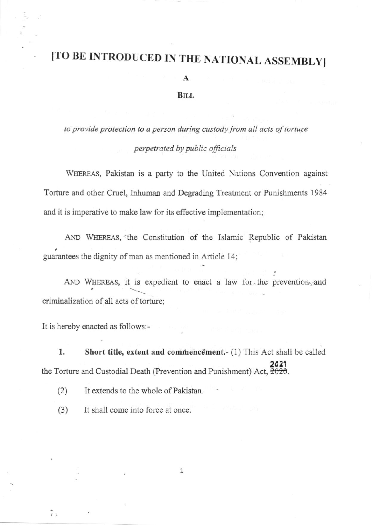## ITO BE INTRODUCED IN THE NATIONAL ASSEMBLY]

A

## **BILL**

to provide protection to a person during custody from all acts of torture perpetrated by public officials

WHEREAS, Pakistan is a party to the United Nations Convention against Torture and other Cruel, Inhuman and Degrading Treafinent or Punishments 1984 and it is imperative to make law for its effective implementation;

AND WHEREAS, the Constitution of the Islamic Republic of Pakistan guarantees the dignity of man as mentioned in Article 14;

AND WHEREAS, it is expedient to enact a law for the prevention and criminalization of all acts of torture;

It is hereby enacted as follows:-

1. Short title, extent and commencement.- (1) This Act shall be called 2021 the Torture and Custodial Death (Prevention and Punishment) Act, <del>2020</del>.

(2) It extends to the whole of Pakistan.

(3) It shall come into force at once.

1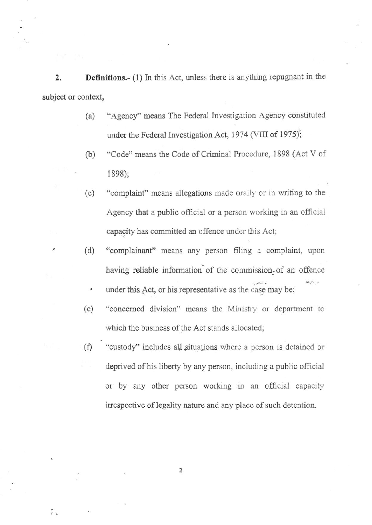2. Definitions.- (1) In this Act, unless there is anything repugnant in the subject or context,

- (a) "Agency''means The Federal Investigation Agency constituted under the Federal Investigation Act, 1974 (VIII of 1975);
- (b) "Code" means the Code of Criminal Procedure, 1898 (Act V of 1898);
- (c) "complaint" means allegations made orally or in writing to the Agency that a public official or a person working in an official capacity has committed an offence under this Act;
- (d) "complainant" means any person filing a complaint, upon having reliable information of the commission of an offence
	- under this Act, or his representative as the case may be;
- (e) "concemed division" means the Ministiy or department to which the business of the Act stands allocated;
- (f) "custody" includes all situations where a person is detained or deprived of his liberty by any person, including a public official or by any other person working in an official capacity irrespective of legality nature and any place of such detention.

2

ĩι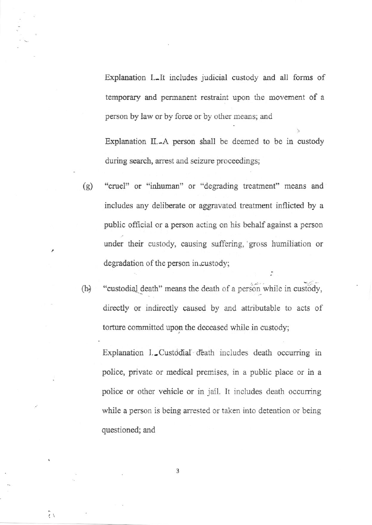Explanation I. It includes judicial custody and all forms of temporary and permanent restraint upon the movement of <sup>a</sup> person by law or by force or by other means; and

Explanation IL-A person shall be deemed to be in custody during search, arrest and seizure proceedings;

- (g) "cruel" or "inhuman" or "degrading treatment" means and includes any deliberate or aggravated treatment inflicted by a public official or a person acting on his behalf against a person under their custody, causing suffering, gross humiliation or degradation of the person in custody;
- (h) "custodial death" means the death of a person while in custody, directly or indirectly caused by and attributable to acts of torture committed upon the deccased while in custody;

Explanation I. Custodial déath includes death occurring in policg private or medical premises, in a public place or in <sup>a</sup> police or other vehicle or in jail. It includes death occurring while a person is being arrested or taken into detention or being questioned; and

3

 $\tilde{I}$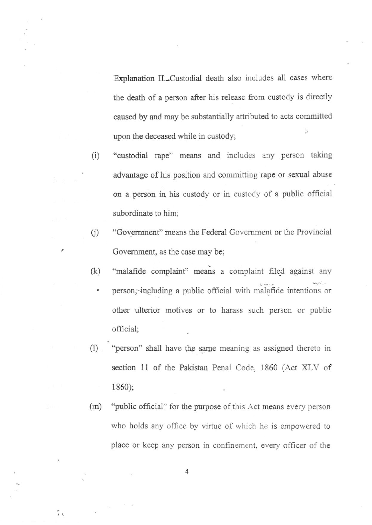upon the deceased while in custody; Explanation Il.-Custodial death also includes all cases where the death of a person after his release from custody is directlv caused by and may be substantially attributed to acts committed

- (i) "custodial rape" means and includes any person taking advantage of his position and committing rape or sexual abuse on a person in his custody or in custody of a public official subordinate to him;
- (i) "Government" means the Federal Government or the Provincial Govemment, as the case may be;
- (k) "malafide complaint" means a complaint filed against any
	- person, including a public official with malafide intentions or other ulterior motives or to harass such person or public official;
- (1) "person" shall have the same meaning as assigned thereto in section 11 of the Pakistan Penal Code, 1860 (Act XLV of 1860);
- $(m)$  "public official" for the purpose of this Act means every person who holds any office by virtue of which he is empowered to place or keep any person in confinement, every officer of the

4

73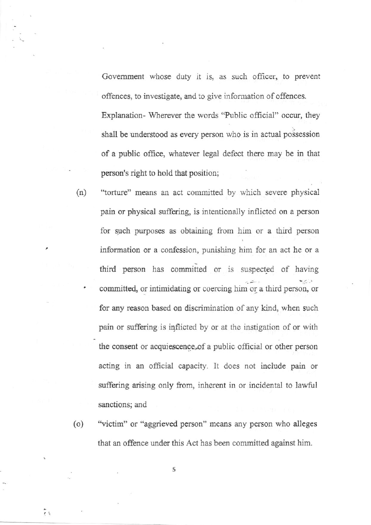Government whose duty it is, as such officer, to prevent offences, to investigate, and to give information of offences. Explanation- Wherever the words "Public official" occur, they shall be understood as every person who is in actual possession of a public office, whatever legal defect there may be in that person's right to hold that position;

- (n) "torture" means an act committed by which severe physical pain or physical suffering, is intentionally inflicted on a person for such purposes as obtaining from him or a third person information or a confession, punishing him for an act he or a third person has committed or is suspected of having committed, or intimidating or coercing him or a third person, or for any reason based on discrimination of any kind, when such pain or suffering is inflicted by or at the instigation of or with the consent or acquiescence,of a pubiic official or other person acting in an official capacity. It does rot include pain or suffering arising only from, inherent in or incidental to lawful sanctions; and
- (o) "victim" or "aggrieved person" means any person who alleges that an offence under this Act has been committed against him

5

 $\tilde{H}$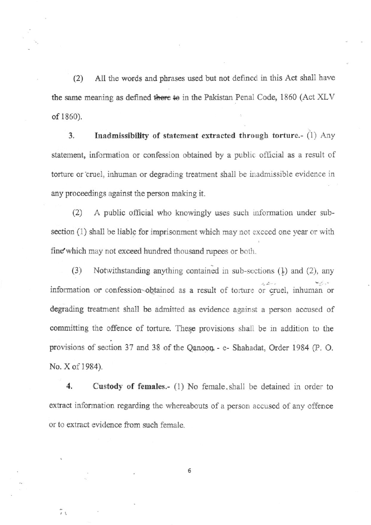(2) All the words and phrases used but not defined in this Act shall have the same meaning as defined there to in the Pakistan Penal Code, 1860 (Act XLV of 1860)

3. Inadmissibility of statement extracted through torture.-  $(1)$  Any statement, information or confession obtained by a public official as a result of torture or cruel, inhuman or degrading treatment shall be inadmissible evidence in any proceedings against the person making it.

(2) A public official who knowingly uses such information under subsection (1) shall be liable for imprisonment which may not exceed one year or with fine which may not exceed hundred thousand rupees or both.

(3) Notwithstanding anything contained in sub-sections  $(1)$  and  $(2)$ , any information or confession-obtained as a result of torture or cruel, inhuman or degrading treatment shall be admitted as eyidence against a person accused of committing the offence of torture. These provisions shall be in addition to the provisions of section 37 and 38 of the Qanoon. - e- Shahadat, Order 1984 (P. O. No. X of 1984)

4. Custody of females.- (1) No female, shall be detained in order to extract information regarding the whereabouts of a person accused of any offence or to extract evidence from such female.

6

 $\widetilde{r}$